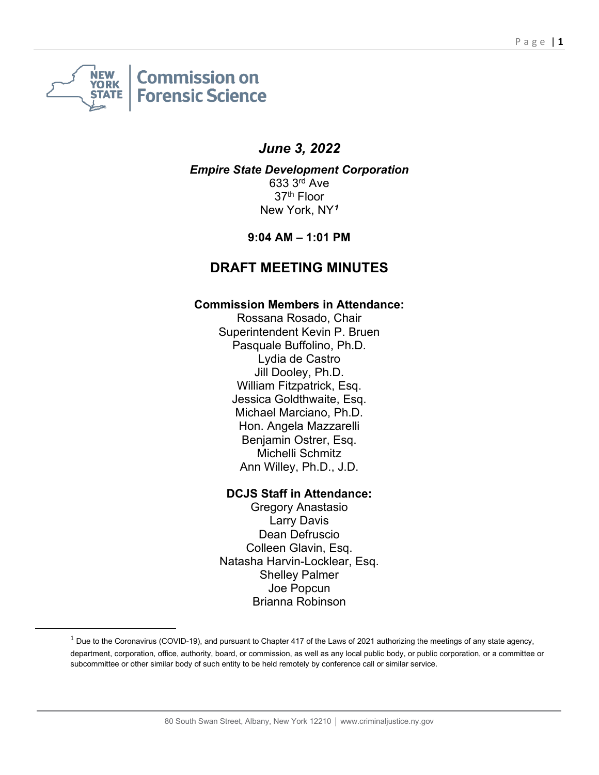

# *June 3, 2022*

*Empire State Development Corporation* 633 3rd Ave 37th Floor New York, NY*[1](#page-0-0)*

**9:04 AM – 1:01 PM**

## **DRAFT MEETING MINUTES**

#### **Commission Members in Attendance:**

Rossana Rosado, Chair Superintendent Kevin P. Bruen Pasquale Buffolino, Ph.D. Lydia de Castro Jill Dooley, Ph.D. William Fitzpatrick, Esq. Jessica Goldthwaite, Esq. Michael Marciano, Ph.D. Hon. Angela Mazzarelli Benjamin Ostrer, Esq. Michelli Schmitz Ann Willey, Ph.D., J.D.

#### **DCJS Staff in Attendance:**

Gregory Anastasio Larry Davis Dean Defruscio Colleen Glavin, Esq. Natasha Harvin-Locklear, Esq. Shelley Palmer Joe Popcun Brianna Robinson

<span id="page-0-0"></span> $1$  Due to the Coronavirus (COVID-19), and pursuant to Chapter 417 of the Laws of 2021 authorizing the meetings of any state agency, department, corporation, office, authority, board, or commission, as well as any local public body, or public corporation, or a committee or subcommittee or other similar body of such entity to be held remotely by conference call or similar service.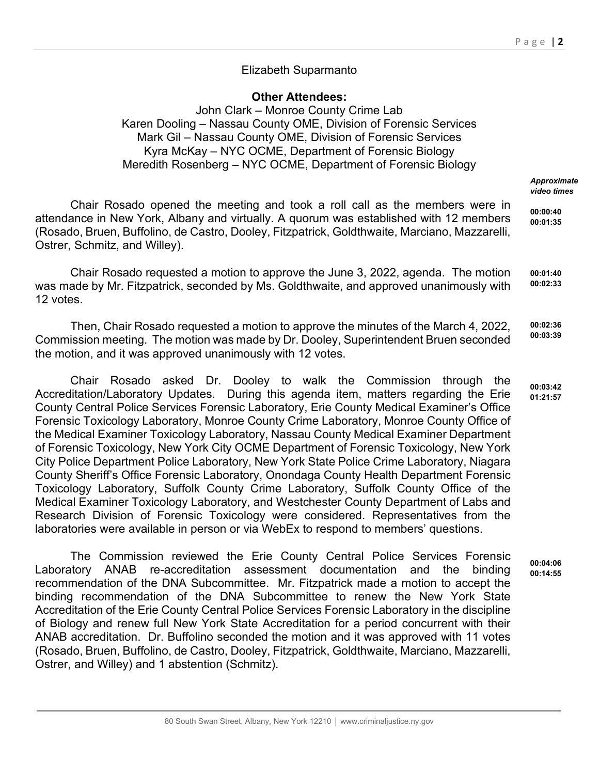### Elizabeth Suparmanto

**Other Attendees:** John Clark – Monroe County Crime Lab Karen Dooling – Nassau County OME, Division of Forensic Services Mark Gil – Nassau County OME, Division of Forensic Services Kyra McKay – NYC OCME, Department of Forensic Biology Meredith Rosenberg – NYC OCME, Department of Forensic Biology

> *Approximate video times*

Chair Rosado opened the meeting and took a roll call as the members were in attendance in New York, Albany and virtually. A quorum was established with 12 members (Rosado, Bruen, Buffolino, de Castro, Dooley, Fitzpatrick, Goldthwaite, Marciano, Mazzarelli, Ostrer, Schmitz, and Willey). **00:00:40 00:01:35**

Chair Rosado requested a motion to approve the June 3, 2022, agenda. The motion was made by Mr. Fitzpatrick, seconded by Ms. Goldthwaite, and approved unanimously with 12 votes. **00:01:40 00:02:33**

Then, Chair Rosado requested a motion to approve the minutes of the March 4, 2022, Commission meeting. The motion was made by Dr. Dooley, Superintendent Bruen seconded the motion, and it was approved unanimously with 12 votes. **00:02:36 00:03:39**

Chair Rosado asked Dr. Dooley to walk the Commission through the Accreditation/Laboratory Updates. During this agenda item, matters regarding the Erie County Central Police Services Forensic Laboratory, Erie County Medical Examiner's Office Forensic Toxicology Laboratory, Monroe County Crime Laboratory, Monroe County Office of the Medical Examiner Toxicology Laboratory, Nassau County Medical Examiner Department of Forensic Toxicology, New York City OCME Department of Forensic Toxicology, New York City Police Department Police Laboratory, New York State Police Crime Laboratory, Niagara County Sheriff's Office Forensic Laboratory, Onondaga County Health Department Forensic Toxicology Laboratory, Suffolk County Crime Laboratory, Suffolk County Office of the Medical Examiner Toxicology Laboratory, and Westchester County Department of Labs and Research Division of Forensic Toxicology were considered. Representatives from the laboratories were available in person or via WebEx to respond to members' questions. **00:03:42 01:21:57**

The Commission reviewed the Erie County Central Police Services Forensic Laboratory ANAB re-accreditation assessment documentation and the binding recommendation of the DNA Subcommittee. Mr. Fitzpatrick made a motion to accept the binding recommendation of the DNA Subcommittee to renew the New York State Accreditation of the Erie County Central Police Services Forensic Laboratory in the discipline of Biology and renew full New York State Accreditation for a period concurrent with their ANAB accreditation. Dr. Buffolino seconded the motion and it was approved with 11 votes (Rosado, Bruen, Buffolino, de Castro, Dooley, Fitzpatrick, Goldthwaite, Marciano, Mazzarelli, Ostrer, and Willey) and 1 abstention (Schmitz). **00:04:06 00:14:55**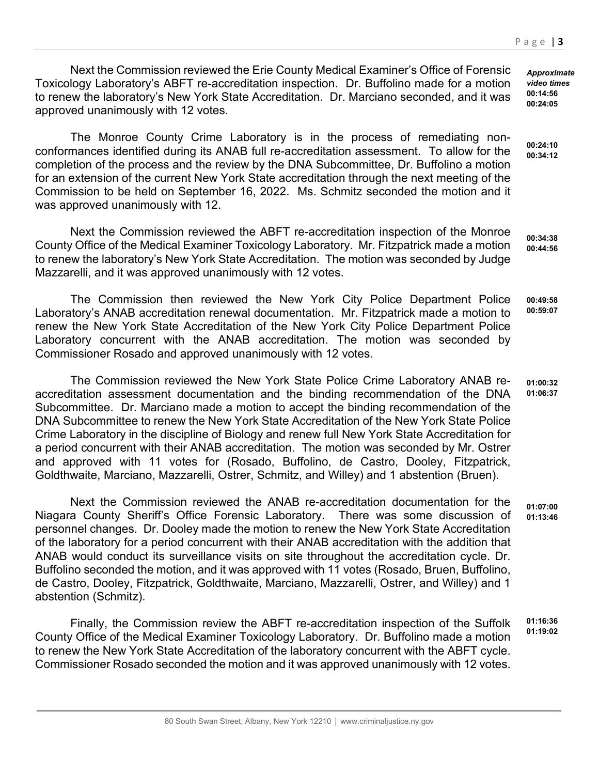Next the Commission reviewed the Erie County Medical Examiner's Office of Forensic Toxicology Laboratory's ABFT re-accreditation inspection. Dr. Buffolino made for a motion to renew the laboratory's New York State Accreditation. Dr. Marciano seconded, and it was approved unanimously with 12 votes.

The Monroe County Crime Laboratory is in the process of remediating nonconformances identified during its ANAB full re-accreditation assessment. To allow for the completion of the process and the review by the DNA Subcommittee, Dr. Buffolino a motion for an extension of the current New York State accreditation through the next meeting of the Commission to be held on September 16, 2022. Ms. Schmitz seconded the motion and it was approved unanimously with 12.

Next the Commission reviewed the ABFT re-accreditation inspection of the Monroe County Office of the Medical Examiner Toxicology Laboratory. Mr. Fitzpatrick made a motion to renew the laboratory's New York State Accreditation. The motion was seconded by Judge Mazzarelli, and it was approved unanimously with 12 votes. **00:34:38 00:44:56**

The Commission then reviewed the New York City Police Department Police Laboratory's ANAB accreditation renewal documentation. Mr. Fitzpatrick made a motion to renew the New York State Accreditation of the New York City Police Department Police Laboratory concurrent with the ANAB accreditation. The motion was seconded by Commissioner Rosado and approved unanimously with 12 votes. **00:49:58 00:59:07**

The Commission reviewed the New York State Police Crime Laboratory ANAB reaccreditation assessment documentation and the binding recommendation of the DNA Subcommittee. Dr. Marciano made a motion to accept the binding recommendation of the DNA Subcommittee to renew the New York State Accreditation of the New York State Police Crime Laboratory in the discipline of Biology and renew full New York State Accreditation for a period concurrent with their ANAB accreditation. The motion was seconded by Mr. Ostrer and approved with 11 votes for (Rosado, Buffolino, de Castro, Dooley, Fitzpatrick, Goldthwaite, Marciano, Mazzarelli, Ostrer, Schmitz, and Willey) and 1 abstention (Bruen). **01:00:32 01:06:37**

Next the Commission reviewed the ANAB re-accreditation documentation for the Niagara County Sheriff's Office Forensic Laboratory. There was some discussion of personnel changes. Dr. Dooley made the motion to renew the New York State Accreditation of the laboratory for a period concurrent with their ANAB accreditation with the addition that ANAB would conduct its surveillance visits on site throughout the accreditation cycle. Dr. Buffolino seconded the motion, and it was approved with 11 votes (Rosado, Bruen, Buffolino, de Castro, Dooley, Fitzpatrick, Goldthwaite, Marciano, Mazzarelli, Ostrer, and Willey) and 1 abstention (Schmitz). **01:07:00 01:13:46**

Finally, the Commission review the ABFT re-accreditation inspection of the Suffolk County Office of the Medical Examiner Toxicology Laboratory. Dr. Buffolino made a motion to renew the New York State Accreditation of the laboratory concurrent with the ABFT cycle. Commissioner Rosado seconded the motion and it was approved unanimously with 12 votes. **01:16:36 01:19:02**

*Approximate video times* **00:14:56 00:24:05**

**00:24:10 00:34:12**